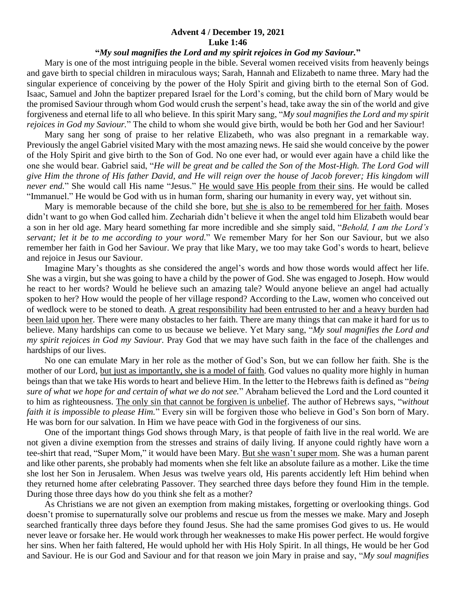## **Advent 4 / December 19, 2021 Luke 1:46**

## **"***My soul magnifies the Lord and my spirit rejoices in God my Saviour.***"**

 Mary is one of the most intriguing people in the bible. Several women received visits from heavenly beings and gave birth to special children in miraculous ways; Sarah, Hannah and Elizabeth to name three. Mary had the singular experience of conceiving by the power of the Holy Spirit and giving birth to the eternal Son of God. Isaac, Samuel and John the baptizer prepared Israel for the Lord's coming, but the child born of Mary would be the promised Saviour through whom God would crush the serpent's head, take away the sin of the world and give forgiveness and eternal life to all who believe. In this spirit Mary sang, "*My soul magnifies the Lord and my spirit rejoices in God my Saviour.*" The child to whom she would give birth, would be both her God and her Saviour!

 Mary sang her song of praise to her relative Elizabeth, who was also pregnant in a remarkable way. Previously the angel Gabriel visited Mary with the most amazing news. He said she would conceive by the power of the Holy Spirit and give birth to the Son of God. No one ever had, or would ever again have a child like the one she would bear. Gabriel said, "*He will be great and be called the Son of the Most-High. The Lord God will give Him the throne of His father David, and He will reign over the house of Jacob forever; His kingdom will never end.*" She would call His name "Jesus." He would save His people from their sins. He would be called "Immanuel." He would be God with us in human form, sharing our humanity in every way, yet without sin.

 Mary is memorable because of the child she bore, but she is also to be remembered for her faith. Moses didn't want to go when God called him. Zechariah didn't believe it when the angel told him Elizabeth would bear a son in her old age. Mary heard something far more incredible and she simply said, "*Behold, I am the Lord's servant; let it be to me according to your word.*" We remember Mary for her Son our Saviour, but we also remember her faith in God her Saviour. We pray that like Mary, we too may take God's words to heart, believe and rejoice in Jesus our Saviour.

 Imagine Mary's thoughts as she considered the angel's words and how those words would affect her life. She was a virgin, but she was going to have a child by the power of God. She was engaged to Joseph. How would he react to her words? Would he believe such an amazing tale? Would anyone believe an angel had actually spoken to her? How would the people of her village respond? According to the Law, women who conceived out of wedlock were to be stoned to death. A great responsibility had been entrusted to her and a heavy burden had been laid upon her. There were many obstacles to her faith. There are many things that can make it hard for us to believe. Many hardships can come to us because we believe. Yet Mary sang, "*My soul magnifies the Lord and my spirit rejoices in God my Saviour.* Pray God that we may have such faith in the face of the challenges and hardships of our lives.

 No one can emulate Mary in her role as the mother of God's Son, but we can follow her faith. She is the mother of our Lord, but just as importantly, she is a model of faith. God values no quality more highly in human beings than that we take His words to heart and believe Him. In the letter to the Hebrews faith is defined as "*being sure of what we hope for and certain of what we do not see.*" Abraham believed the Lord and the Lord counted it to him as righteousness. The only sin that cannot be forgiven is unbelief. The author of Hebrews says, "*without faith it is impossible to please Him.*" Every sin will be forgiven those who believe in God's Son born of Mary. He was born for our salvation. In Him we have peace with God in the forgiveness of our sins.

 One of the important things God shows through Mary, is that people of faith live in the real world. We are not given a divine exemption from the stresses and strains of daily living. If anyone could rightly have worn a tee-shirt that read, "Super Mom," it would have been Mary. But she wasn't super mom. She was a human parent and like other parents, she probably had moments when she felt like an absolute failure as a mother. Like the time she lost her Son in Jerusalem. When Jesus was twelve years old, His parents accidently left Him behind when they returned home after celebrating Passover. They searched three days before they found Him in the temple. During those three days how do you think she felt as a mother?

 As Christians we are not given an exemption from making mistakes, forgetting or overlooking things. God doesn't promise to supernaturally solve our problems and rescue us from the messes we make. Mary and Joseph searched frantically three days before they found Jesus. She had the same promises God gives to us. He would never leave or forsake her. He would work through her weaknesses to make His power perfect. He would forgive her sins. When her faith faltered, He would uphold her with His Holy Spirit. In all things, He would be her God and Saviour. He is our God and Saviour and for that reason we join Mary in praise and say, "*My soul magnifies*